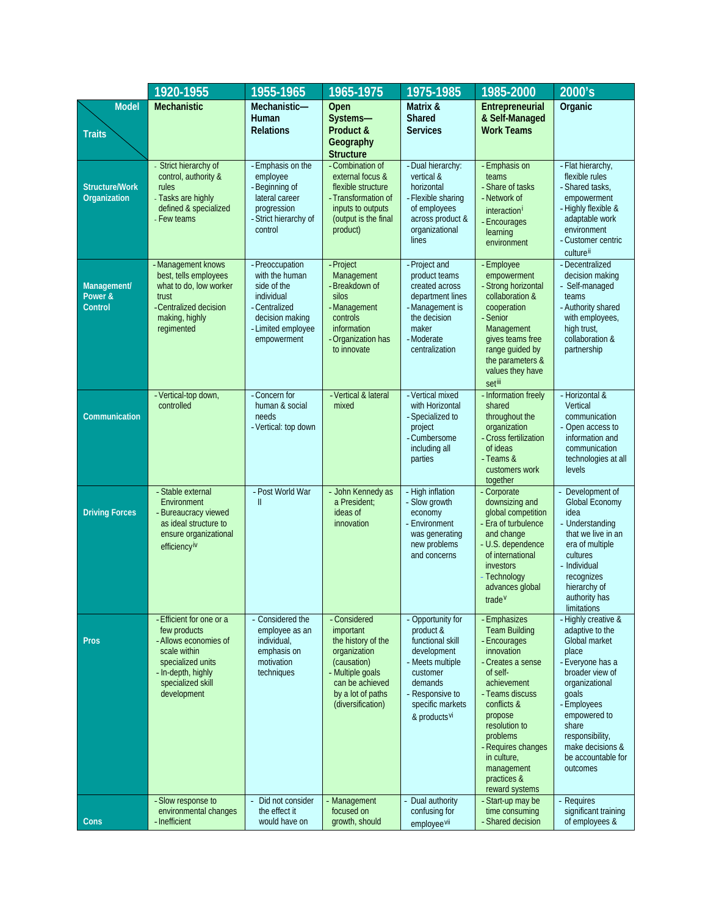|                                       | 1920-1955                                                                                                                                                        | 1955-1965                                                                                                                               | 1965-1975                                                                                                                                                       | 1975-1985                                                                                                                                                                       | 1985-2000                                                                                                                                                                                                                                                                        | 2000's                                                                                                                                                                                                                                              |
|---------------------------------------|------------------------------------------------------------------------------------------------------------------------------------------------------------------|-----------------------------------------------------------------------------------------------------------------------------------------|-----------------------------------------------------------------------------------------------------------------------------------------------------------------|---------------------------------------------------------------------------------------------------------------------------------------------------------------------------------|----------------------------------------------------------------------------------------------------------------------------------------------------------------------------------------------------------------------------------------------------------------------------------|-----------------------------------------------------------------------------------------------------------------------------------------------------------------------------------------------------------------------------------------------------|
| <b>Model</b><br><b>Traits</b>         | <b>Mechanistic</b>                                                                                                                                               | Mechanistic-<br>Human<br><b>Relations</b>                                                                                               | Open<br>Systems-<br>Product &<br>Geography<br><b>Structure</b>                                                                                                  | Matrix &<br><b>Shared</b><br><b>Services</b>                                                                                                                                    | Entrepreneurial<br>& Self-Managed<br><b>Work Teams</b>                                                                                                                                                                                                                           | Organic                                                                                                                                                                                                                                             |
| <b>Structure/Work</b><br>Organization | Strict hierarchy of<br>control, authority &<br>rules<br>- Tasks are highly<br>defined & specialized<br>- Few teams                                               | - Emphasis on the<br>employee<br>- Beginning of<br>lateral career<br>progression<br>- Strict hierarchy of<br>control                    | - Combination of<br>external focus &<br>flexible structure<br>- Transformation of<br>inputs to outputs<br>(output is the final<br>product)                      | - Dual hierarchy:<br>vertical &<br>horizontal<br>- Flexible sharing<br>of employees<br>across product &<br>organizational<br>lines                                              | - Emphasis on<br>teams<br>- Share of tasks<br>- Network of<br>interaction <sup>i</sup><br>- Encourages<br>learning<br>environment                                                                                                                                                | - Flat hierarchy,<br>flexible rules<br>- Shared tasks,<br>empowerment<br>- Highly flexible &<br>adaptable work<br>environment<br>- Customer centric<br>culturell                                                                                    |
| Management/<br>Power &<br>Control     | - Management knows<br>best, tells employees<br>what to do, low worker<br>trust<br>-Centralized decision<br>making, highly<br>regimented                          | - Preoccupation<br>with the human<br>side of the<br>individual<br>- Centralized<br>decision making<br>- Limited employee<br>empowerment | - Project<br>Management<br>- Breakdown of<br>silos<br>- Management<br>controls<br>information<br>- Organization has<br>to innovate                              | - Project and<br>product teams<br>created across<br>department lines<br>- Management is<br>the decision<br>maker<br>- Moderate<br>centralization                                | - Employee<br>empowerment<br>- Strong horizontal<br>collaboration &<br>cooperation<br>- Senior<br>Management<br>gives teams free<br>range quided by<br>the parameters &<br>values they have<br>setiii                                                                            | - Decentralized<br>decision making<br>- Self-managed<br>teams<br>- Authority shared<br>with employees,<br>high trust,<br>collaboration &<br>partnership                                                                                             |
| Communication                         | - Vertical-top down,<br>controlled                                                                                                                               | - Concern for<br>human & social<br>needs<br>- Vertical: top down                                                                        | - Vertical & lateral<br>mixed                                                                                                                                   | - Vertical mixed<br>with Horizontal<br>- Specialized to<br>project<br>- Cumbersome<br>including all<br>parties                                                                  | - Information freely<br>shared<br>throughout the<br>organization<br>- Cross fertilization<br>of ideas<br>- Teams &<br>customers work<br>together                                                                                                                                 | - Horizontal &<br>Vertical<br>communication<br>- Open access to<br>information and<br>communication<br>technologies at all<br>levels                                                                                                                |
| <b>Driving Forces</b>                 | - Stable external<br>Environment<br>- Bureaucracy viewed<br>as ideal structure to<br>ensure organizational<br>efficiency <sup>iv</sup>                           | - Post World War<br>$\mathbf{I}$                                                                                                        | - John Kennedy as<br>a President;<br>ideas of<br>innovation                                                                                                     | - High inflation<br>- Slow growth<br>economy<br>- Environment<br>was generating<br>new problems<br>and concerns                                                                 | - Corporate<br>downsizing and<br>global competition<br>- Era of turbulence<br>and change<br>- U.S. dependence<br>of international<br>investors<br>Technology<br>advances global<br>trade <sup>V</sup>                                                                            | Development of<br>Global Economy<br>idea<br>- Understanding<br>that we live in an<br>era of multiple<br>cultures<br>- Individual<br>recognizes<br>hierarchy of<br>authority has<br>limitations                                                      |
| <b>Pros</b>                           | - Efficient for one or a<br>few products<br>- Allows economies of<br>scale within<br>specialized units<br>- In-depth, highly<br>specialized skill<br>development | - Considered the<br>employee as an<br>individual,<br>emphasis on<br>motivation<br>techniques                                            | - Considered<br>important<br>the history of the<br>organization<br>(causation)<br>- Multiple goals<br>can be achieved<br>by a lot of paths<br>(diversification) | - Opportunity for<br>product &<br>functional skill<br>development<br>- Meets multiple<br>customer<br>demands<br>- Responsive to<br>specific markets<br>& products <sup>vi</sup> | - Emphasizes<br><b>Team Building</b><br>- Encourages<br>innovation<br>- Creates a sense<br>of self-<br>achievement<br>- Teams discuss<br>conflicts &<br>propose<br>resolution to<br>problems<br>- Requires changes<br>in culture,<br>management<br>practices &<br>reward systems | - Highly creative &<br>adaptive to the<br>Global market<br>place<br>- Everyone has a<br>broader view of<br>organizational<br>goals<br>- Employees<br>empowered to<br>share<br>responsibility,<br>make decisions &<br>be accountable for<br>outcomes |
| Cons                                  | - Slow response to<br>environmental changes<br>- Inefficient                                                                                                     | Did not consider<br>the effect it<br>would have on                                                                                      | - Management<br>focused on<br>growth, should                                                                                                                    | Dual authority<br>confusing for<br>employee <sup>vii</sup>                                                                                                                      | - Start-up may be<br>time consuming<br>- Shared decision                                                                                                                                                                                                                         | - Requires<br>significant training<br>of employees &                                                                                                                                                                                                |